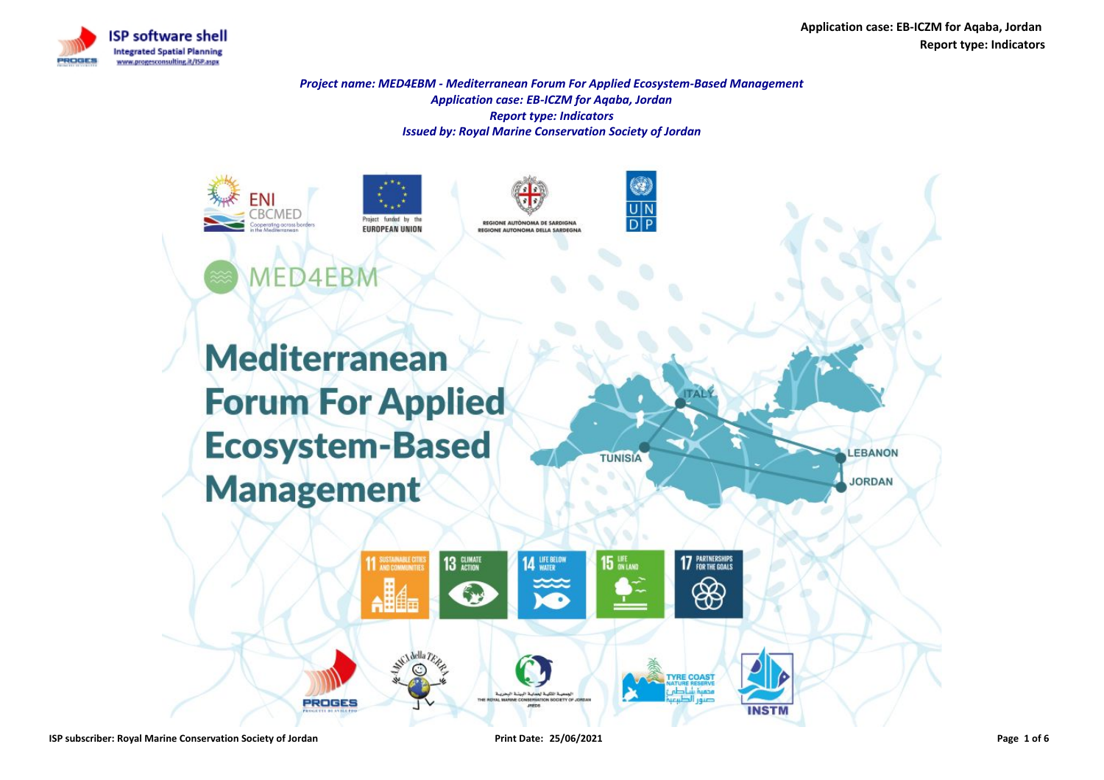

**Application case: EB-ICZM for Aqaba, Jordan Report type: Indicators**

**JORDAN** 

*Project name: MED4EBM - Mediterranean Forum For Applied Ecosystem-Based Management Application case: EB-ICZM for Aqaba, Jordan Report type: Indicators Issued by: Royal Marine Conservation Society of Jordan*



Project funded by **EUROPEAN UNION** 





**Mediterranean Forum For Applied Ecosystem-Based Management** 

**PROGES** 



**YRE COAS** 

**INSTN**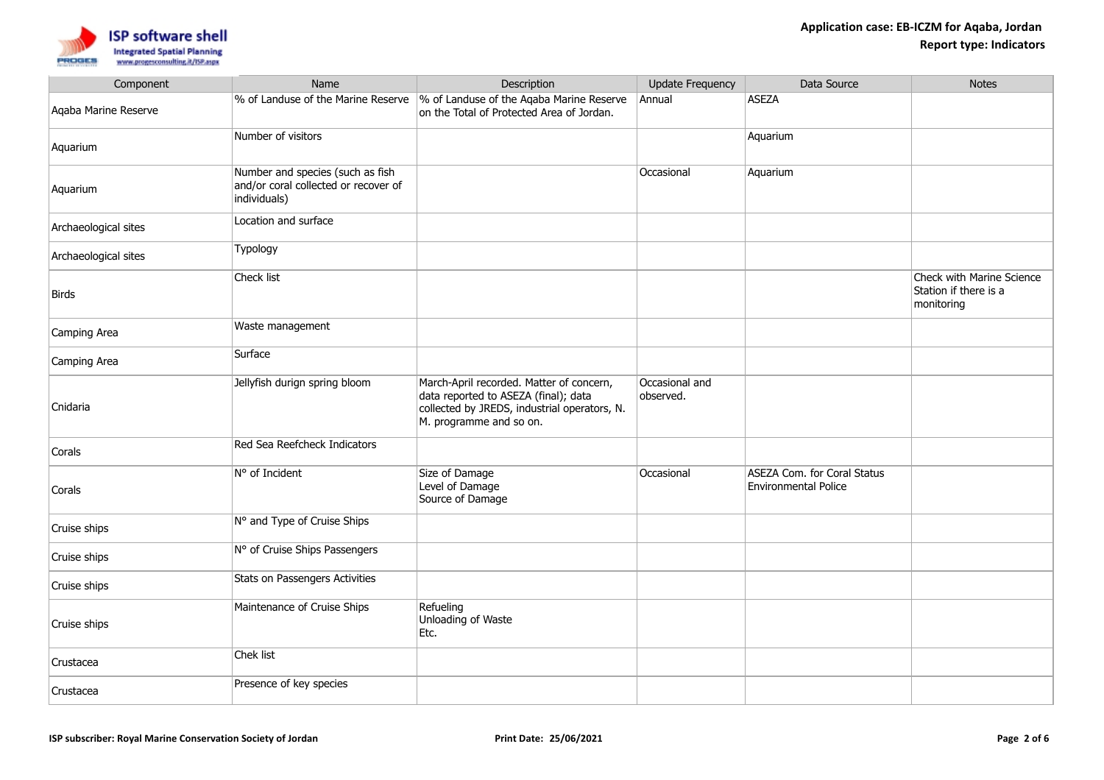

| Component            | Name                                                                                     | Description                                                                                                                                                 | <b>Update Frequency</b>     | Data Source                                                       | <b>Notes</b>                                                     |
|----------------------|------------------------------------------------------------------------------------------|-------------------------------------------------------------------------------------------------------------------------------------------------------------|-----------------------------|-------------------------------------------------------------------|------------------------------------------------------------------|
| Aqaba Marine Reserve | % of Landuse of the Marine Reserve                                                       | % of Landuse of the Aqaba Marine Reserve<br>on the Total of Protected Area of Jordan.                                                                       | Annual                      | <b>ASEZA</b>                                                      |                                                                  |
| Aquarium             | Number of visitors                                                                       |                                                                                                                                                             |                             | Aquarium                                                          |                                                                  |
| Aquarium             | Number and species (such as fish<br>and/or coral collected or recover of<br>individuals) |                                                                                                                                                             | Occasional                  | Aquarium                                                          |                                                                  |
| Archaeological sites | Location and surface                                                                     |                                                                                                                                                             |                             |                                                                   |                                                                  |
| Archaeological sites | Typology                                                                                 |                                                                                                                                                             |                             |                                                                   |                                                                  |
| Birds                | Check list                                                                               |                                                                                                                                                             |                             |                                                                   | Check with Marine Science<br>Station if there is a<br>monitoring |
| Camping Area         | Waste management                                                                         |                                                                                                                                                             |                             |                                                                   |                                                                  |
| Camping Area         | Surface                                                                                  |                                                                                                                                                             |                             |                                                                   |                                                                  |
| Cnidaria             | Jellyfish durign spring bloom                                                            | March-April recorded. Matter of concern,<br>data reported to ASEZA (final); data<br>collected by JREDS, industrial operators, N.<br>M. programme and so on. | Occasional and<br>observed. |                                                                   |                                                                  |
| Corals               | Red Sea Reefcheck Indicators                                                             |                                                                                                                                                             |                             |                                                                   |                                                                  |
| Corals               | N° of Incident                                                                           | Size of Damage<br>Level of Damage<br>Source of Damage                                                                                                       | Occasional                  | <b>ASEZA Com. for Coral Status</b><br><b>Environmental Police</b> |                                                                  |
| Cruise ships         | N° and Type of Cruise Ships                                                              |                                                                                                                                                             |                             |                                                                   |                                                                  |
| Cruise ships         | N° of Cruise Ships Passengers                                                            |                                                                                                                                                             |                             |                                                                   |                                                                  |
| Cruise ships         | Stats on Passengers Activities                                                           |                                                                                                                                                             |                             |                                                                   |                                                                  |
| Cruise ships         | Maintenance of Cruise Ships                                                              | Refueling<br>Unloading of Waste<br>Etc.                                                                                                                     |                             |                                                                   |                                                                  |
| Crustacea            | Chek list                                                                                |                                                                                                                                                             |                             |                                                                   |                                                                  |
| Crustacea            | Presence of key species                                                                  |                                                                                                                                                             |                             |                                                                   |                                                                  |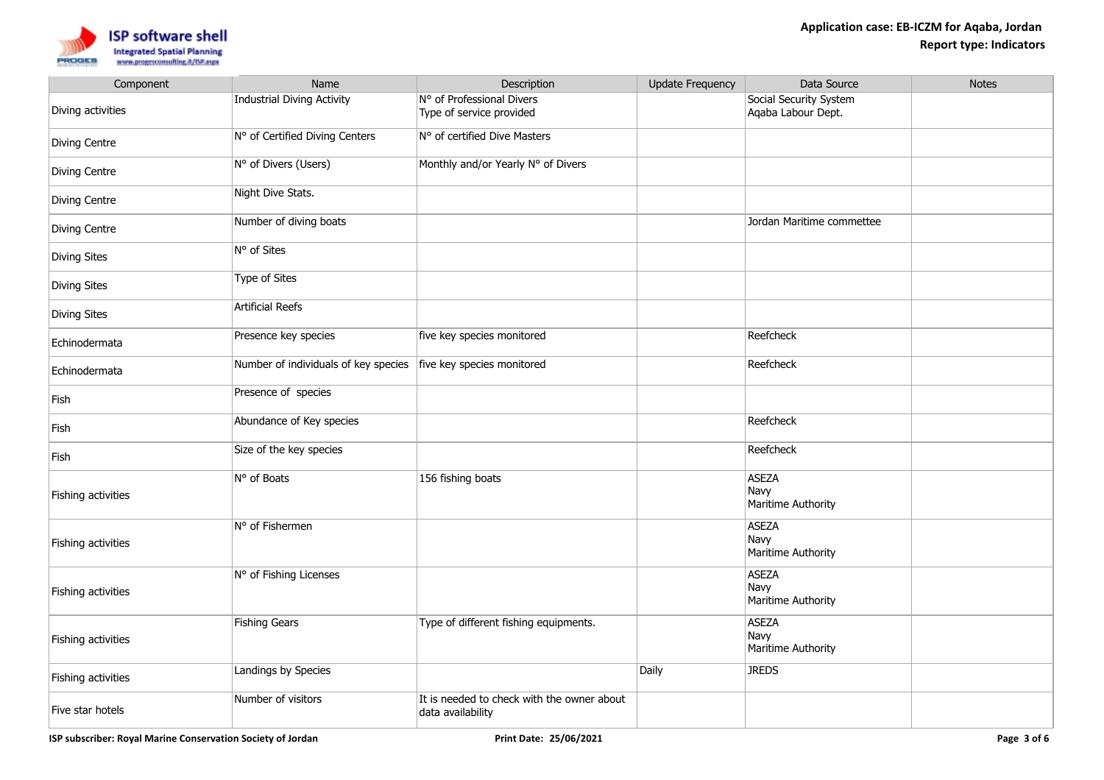

| Component          | Name                                 | Description                                                     | <b>Update Frequency</b> | Data Source                                  | <b>Notes</b> |
|--------------------|--------------------------------------|-----------------------------------------------------------------|-------------------------|----------------------------------------------|--------------|
| Diving activities  | <b>Industrial Diving Activity</b>    | N° of Professional Divers<br>Type of service provided           |                         | Social Security System<br>Agaba Labour Dept. |              |
| Diving Centre      | N° of Certified Diving Centers       | N° of certified Dive Masters                                    |                         |                                              |              |
| Diving Centre      | N° of Divers (Users)                 | Monthly and/or Yearly N° of Divers                              |                         |                                              |              |
| Diving Centre      | Night Dive Stats.                    |                                                                 |                         |                                              |              |
| Diving Centre      | Number of diving boats               |                                                                 |                         | Jordan Maritime commettee                    |              |
| Diving Sites       | N° of Sites                          |                                                                 |                         |                                              |              |
| Diving Sites       | <b>Type of Sites</b>                 |                                                                 |                         |                                              |              |
| Diving Sites       | <b>Artificial Reefs</b>              |                                                                 |                         |                                              |              |
| Echinodermata      | Presence key species                 | five key species monitored                                      |                         | Reefcheck                                    |              |
| Echinodermata      | Number of individuals of key species | five key species monitored                                      |                         | Reefcheck                                    |              |
| Fish               | Presence of species                  |                                                                 |                         |                                              |              |
| Fish               | Abundance of Key species             |                                                                 |                         | Reefcheck                                    |              |
| Fish               | Size of the key species              |                                                                 |                         | Reefcheck                                    |              |
| Fishing activities | N° of Boats                          | 156 fishing boats                                               |                         | <b>ASEZA</b><br>Navy<br>Maritime Authority   |              |
| Fishing activities | N° of Fishermen                      |                                                                 |                         | <b>ASEZA</b><br>Navy<br>Maritime Authority   |              |
| Fishing activities | N° of Fishing Licenses               |                                                                 |                         | <b>ASEZA</b><br>Navy<br>Maritime Authority   |              |
| Fishing activities | <b>Fishing Gears</b>                 | Type of different fishing equipments.                           |                         | <b>ASEZA</b><br>Navy<br>Maritime Authority   |              |
| Fishing activities | Landings by Species                  |                                                                 | Daily                   | <b>JREDS</b>                                 |              |
| Five star hotels   | Number of visitors                   | It is needed to check with the owner about<br>data availability |                         |                                              |              |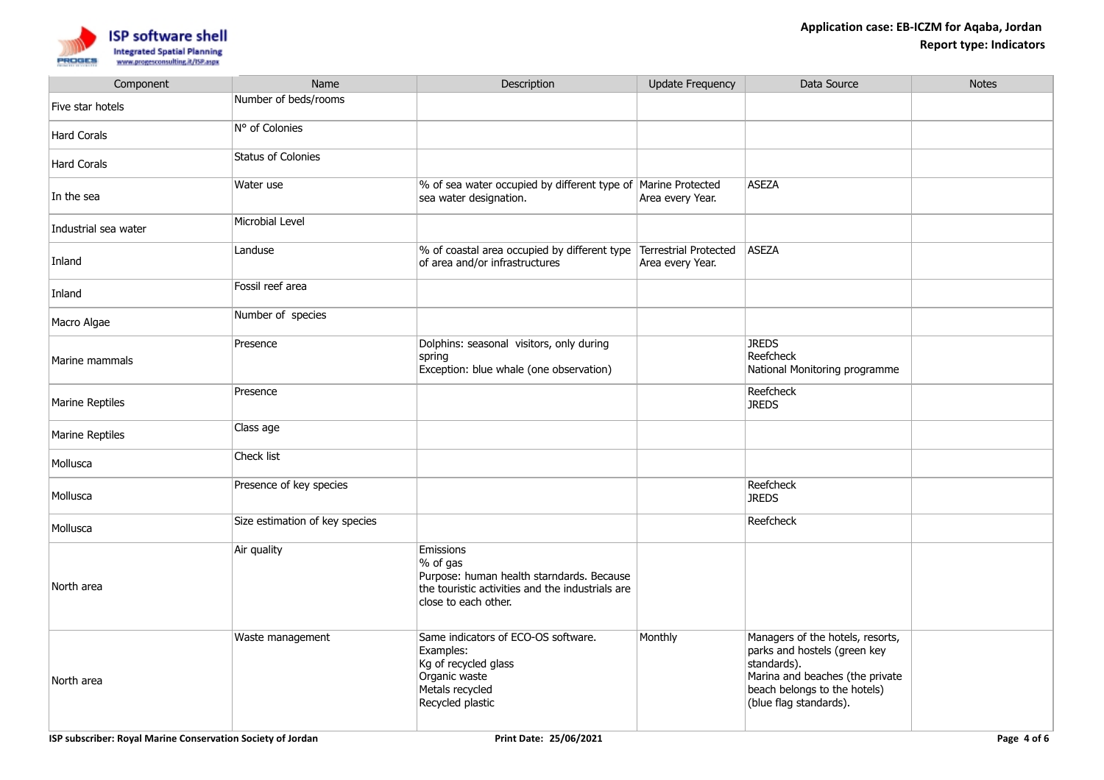

| Component            | Name                           | Description                                                                                                                                    | <b>Update Frequency</b> | Data Source                                                                                                                                                                  | <b>Notes</b> |
|----------------------|--------------------------------|------------------------------------------------------------------------------------------------------------------------------------------------|-------------------------|------------------------------------------------------------------------------------------------------------------------------------------------------------------------------|--------------|
| Five star hotels     | Number of beds/rooms           |                                                                                                                                                |                         |                                                                                                                                                                              |              |
| <b>Hard Corals</b>   | N° of Colonies                 |                                                                                                                                                |                         |                                                                                                                                                                              |              |
| Hard Corals          | <b>Status of Colonies</b>      |                                                                                                                                                |                         |                                                                                                                                                                              |              |
| In the sea           | Water use                      | % of sea water occupied by different type of Marine Protected<br>sea water designation.                                                        | Area every Year.        | <b>ASEZA</b>                                                                                                                                                                 |              |
| Industrial sea water | Microbial Level                |                                                                                                                                                |                         |                                                                                                                                                                              |              |
| Inland               | Landuse                        | % of coastal area occupied by different type Terrestrial Protected<br>of area and/or infrastructures                                           | Area every Year.        | ASEZA                                                                                                                                                                        |              |
| Inland               | Fossil reef area               |                                                                                                                                                |                         |                                                                                                                                                                              |              |
| Macro Algae          | Number of species              |                                                                                                                                                |                         |                                                                                                                                                                              |              |
| Marine mammals       | Presence                       | Dolphins: seasonal visitors, only during<br>spring<br>Exception: blue whale (one observation)                                                  |                         | <b>JREDS</b><br>Reefcheck<br>National Monitoring programme                                                                                                                   |              |
| Marine Reptiles      | Presence                       |                                                                                                                                                |                         | Reefcheck<br><b>JREDS</b>                                                                                                                                                    |              |
| Marine Reptiles      | Class age                      |                                                                                                                                                |                         |                                                                                                                                                                              |              |
| Mollusca             | Check list                     |                                                                                                                                                |                         |                                                                                                                                                                              |              |
| Mollusca             | Presence of key species        |                                                                                                                                                |                         | Reefcheck<br><b>JREDS</b>                                                                                                                                                    |              |
| Mollusca             | Size estimation of key species |                                                                                                                                                |                         | Reefcheck                                                                                                                                                                    |              |
| North area           | Air quality                    | Emissions<br>% of gas<br>Purpose: human health starndards. Because<br>the touristic activities and the industrials are<br>close to each other. |                         |                                                                                                                                                                              |              |
| North area           | Waste management               | Same indicators of ECO-OS software.<br>Examples:<br>Kg of recycled glass<br>Organic waste<br>Metals recycled<br>Recycled plastic               | Monthly                 | Managers of the hotels, resorts,<br>parks and hostels (green key<br>standards).<br>Marina and beaches (the private<br>beach belongs to the hotels)<br>(blue flag standards). |              |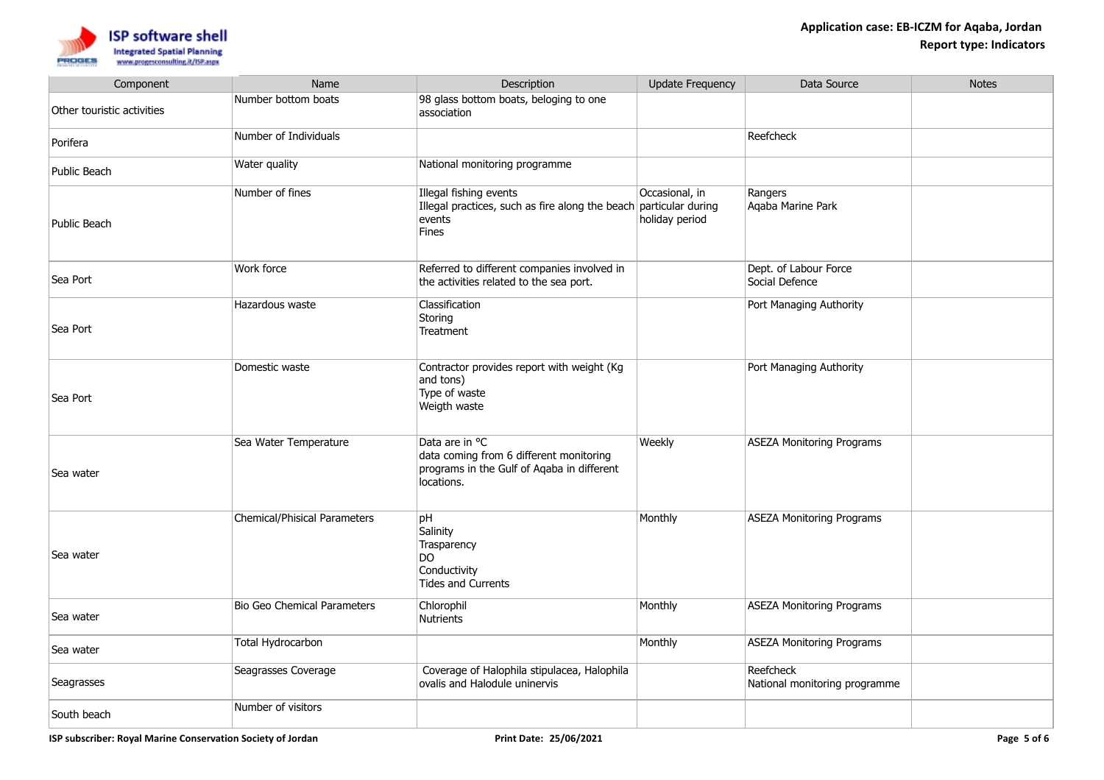

| Component                  | Name                                | Description                                                                                                           | <b>Update Frequency</b>          | Data Source                                | <b>Notes</b> |
|----------------------------|-------------------------------------|-----------------------------------------------------------------------------------------------------------------------|----------------------------------|--------------------------------------------|--------------|
| Other touristic activities | Number bottom boats                 | 98 glass bottom boats, beloging to one<br>association                                                                 |                                  |                                            |              |
| Porifera                   | Number of Individuals               |                                                                                                                       |                                  | Reefcheck                                  |              |
| Public Beach               | Water quality                       | National monitoring programme                                                                                         |                                  |                                            |              |
| Public Beach               | Number of fines                     | Illegal fishing events<br>Illegal practices, such as fire along the beach particular during<br>events<br><b>Fines</b> | Occasional, in<br>holiday period | Rangers<br>Agaba Marine Park               |              |
| Sea Port                   | Work force                          | Referred to different companies involved in<br>the activities related to the sea port.                                |                                  | Dept. of Labour Force<br>Social Defence    |              |
| Sea Port                   | Hazardous waste                     | Classification<br>Storing<br>Treatment                                                                                |                                  | Port Managing Authority                    |              |
| Sea Port                   | Domestic waste                      | Contractor provides report with weight (Kg<br>and tons)<br>Type of waste<br>Weigth waste                              |                                  | Port Managing Authority                    |              |
| Sea water                  | Sea Water Temperature               | Data are in °C<br>data coming from 6 different monitoring<br>programs in the Gulf of Aqaba in different<br>locations. | Weekly                           | ASEZA Monitoring Programs                  |              |
| Sea water                  | <b>Chemical/Phisical Parameters</b> | pH<br>Salinity<br>Trasparency<br>DO.<br>Conductivity<br><b>Tides and Currents</b>                                     | Monthly                          | ASEZA Monitoring Programs                  |              |
| Sea water                  | Bio Geo Chemical Parameters         | Chlorophil<br><b>Nutrients</b>                                                                                        | Monthly                          | ASEZA Monitoring Programs                  |              |
| Sea water                  | Total Hydrocarbon                   |                                                                                                                       | Monthly                          | ASEZA Monitoring Programs                  |              |
| Seagrasses                 | Seagrasses Coverage                 | Coverage of Halophila stipulacea, Halophila<br>ovalis and Halodule uninervis                                          |                                  | Reefcheck<br>National monitoring programme |              |
| South beach                | Number of visitors                  |                                                                                                                       |                                  |                                            |              |